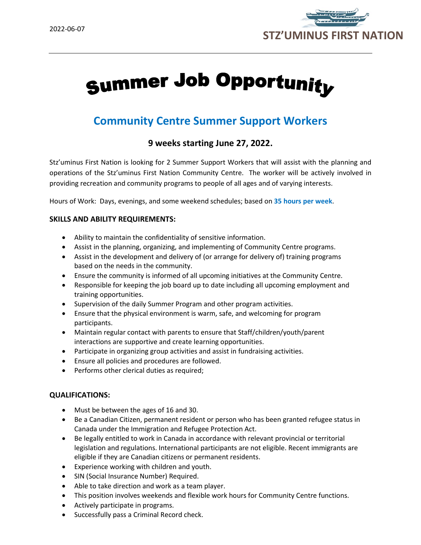

# Summer Job Opportunity

## **Community Centre Summer Support Workers**

### **9 weeks starting June 27, 2022.**

Stz'uminus First Nation is looking for 2 Summer Support Workers that will assist with the planning and operations of the Stz'uminus First Nation Community Centre. The worker will be actively involved in providing recreation and community programs to people of all ages and of varying interests.

Hours of Work: Days, evenings, and some weekend schedules; based on **35 hours per week**.

#### **SKILLS AND ABILITY REQUIREMENTS:**

- Ability to maintain the confidentiality of sensitive information.
- Assist in the planning, organizing, and implementing of Community Centre programs.
- Assist in the development and delivery of (or arrange for delivery of) training programs based on the needs in the community.
- Ensure the community is informed of all upcoming initiatives at the Community Centre.
- Responsible for keeping the job board up to date including all upcoming employment and training opportunities.
- Supervision of the daily Summer Program and other program activities.
- Ensure that the physical environment is warm, safe, and welcoming for program participants.
- Maintain regular contact with parents to ensure that Staff/children/youth/parent interactions are supportive and create learning opportunities.
- Participate in organizing group activities and assist in fundraising activities.
- Ensure all policies and procedures are followed.
- Performs other clerical duties as required;

#### **QUALIFICATIONS:**

- Must be between the ages of 16 and 30.
- Be a Canadian Citizen, permanent resident or person who has been granted refugee status in Canada under the Immigration and Refugee Protection Act.
- Be legally entitled to work in Canada in accordance with relevant provincial or territorial legislation and regulations. International participants are not eligible. Recent immigrants are eligible if they are Canadian citizens or permanent residents.
- Experience working with children and youth.
- SIN (Social Insurance Number) Required.
- Able to take direction and work as a team player.
- This position involves weekends and flexible work hours for Community Centre functions.
- Actively participate in programs.
- Successfully pass a Criminal Record check.